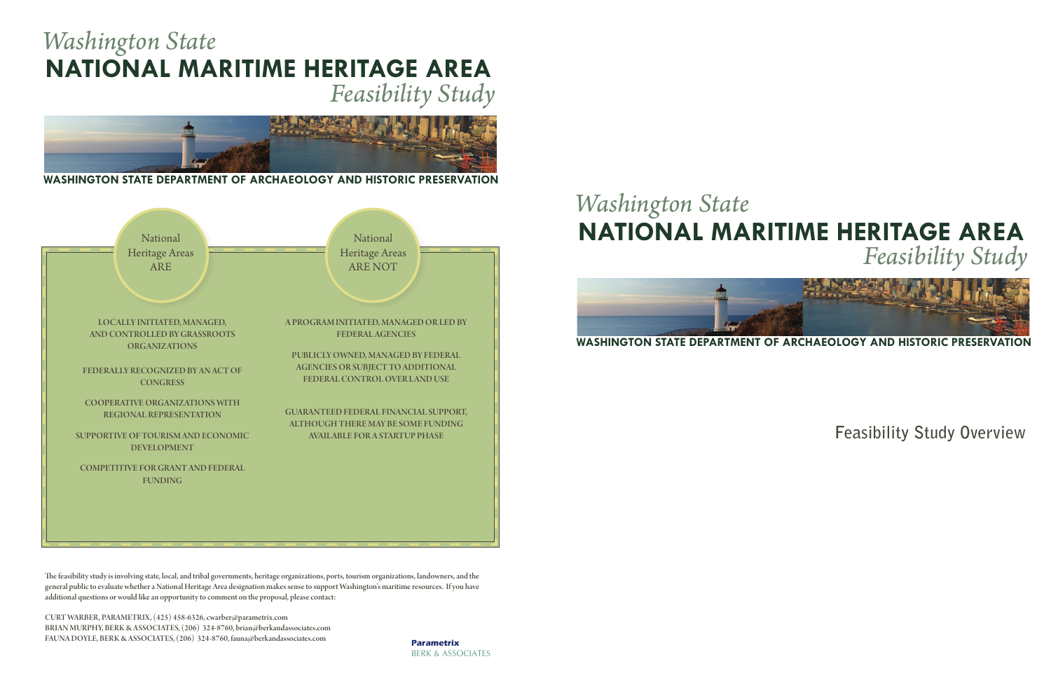## **NATIONAL MARITIME HERITAGE AREA** *Feasibility Study*

# *Washington State*



**Feasibility Study Overview**



## **NATIONAL MARITIME HERITAGE AREA** *Washington State Feasibility Study*



**WASHINGTON STATE DEPARTMENT OF ARCHAEOLOGY AND HISTORIC PRESERVATION**

The feasibility study is involving state, local, and tribal governments, heritage organizations, ports, tourism organizations, landowners, and the general public to evaluate whether a National Heritage Area designation makes sense to support Washington's maritime resources. If you have additional questions or would like an opportunity to comment on the proposal, please contact:

CURT WARBER, PARAMETRIX, (425) 458-6326, cwarber@parametrix.com BRIAN MURPHY, BERK & ASSOCIATES, (206) 324-8760, brian@berkandassociates.com FAUNA DOYLE, BERK & ASSOCIATES, (206) 324-8760, fauna@berkandassociates.com **Parametrix**

BERK & ASSOCIATES